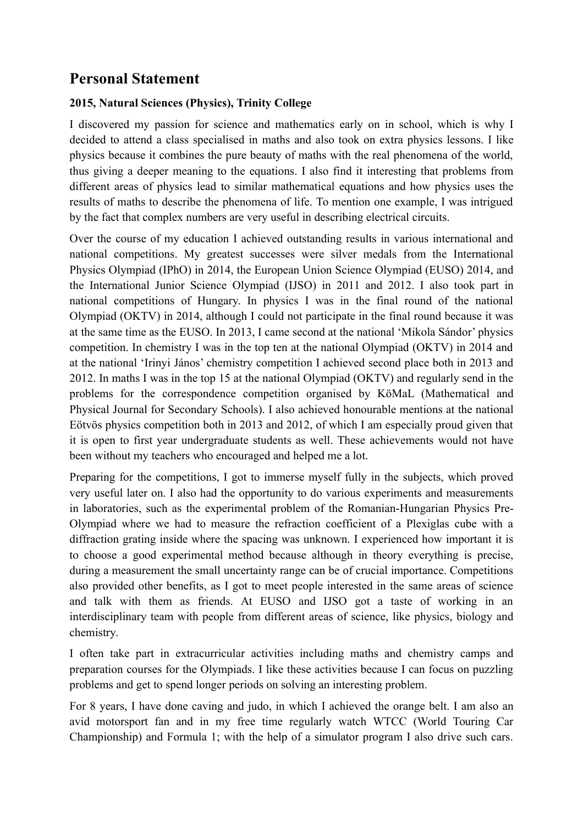## **Personal Statement**

## **2015, Natural Sciences (Physics), Trinity College**

I discovered my passion for science and mathematics early on in school, which is why I decided to attend a class specialised in maths and also took on extra physics lessons. I like physics because it combines the pure beauty of maths with the real phenomena of the world, thus giving a deeper meaning to the equations. I also find it interesting that problems from different areas of physics lead to similar mathematical equations and how physics uses the results of maths to describe the phenomena of life. To mention one example, I was intrigued by the fact that complex numbers are very useful in describing electrical circuits.

Over the course of my education I achieved outstanding results in various international and national competitions. My greatest successes were silver medals from the International Physics Olympiad (IPhO) in 2014, the European Union Science Olympiad (EUSO) 2014, and the International Junior Science Olympiad (IJSO) in 2011 and 2012. I also took part in national competitions of Hungary. In physics I was in the final round of the national Olympiad (OKTV) in 2014, although I could not participate in the final round because it was at the same time as the EUSO. In 2013, I came second at the national 'Mikola Sándor' physics competition. In chemistry I was in the top ten at the national Olympiad (OKTV) in 2014 and at the national 'Irinyi János' chemistry competition I achieved second place both in 2013 and 2012. In maths I was in the top 15 at the national Olympiad (OKTV) and regularly send in the problems for the correspondence competition organised by KöMaL (Mathematical and Physical Journal for Secondary Schools). I also achieved honourable mentions at the national Eötvös physics competition both in 2013 and 2012, of which I am especially proud given that it is open to first year undergraduate students as well. These achievements would not have been without my teachers who encouraged and helped me a lot.

Preparing for the competitions, I got to immerse myself fully in the subjects, which proved very useful later on. I also had the opportunity to do various experiments and measurements in laboratories, such as the experimental problem of the Romanian-Hungarian Physics Pre-Olympiad where we had to measure the refraction coefficient of a Plexiglas cube with a diffraction grating inside where the spacing was unknown. I experienced how important it is to choose a good experimental method because although in theory everything is precise, during a measurement the small uncertainty range can be of crucial importance. Competitions also provided other benefits, as I got to meet people interested in the same areas of science and talk with them as friends. At EUSO and IJSO got a taste of working in an interdisciplinary team with people from different areas of science, like physics, biology and chemistry.

I often take part in extracurricular activities including maths and chemistry camps and preparation courses for the Olympiads. I like these activities because I can focus on puzzling problems and get to spend longer periods on solving an interesting problem.

For 8 years, I have done caving and judo, in which I achieved the orange belt. I am also an avid motorsport fan and in my free time regularly watch WTCC (World Touring Car Championship) and Formula 1; with the help of a simulator program I also drive such cars.